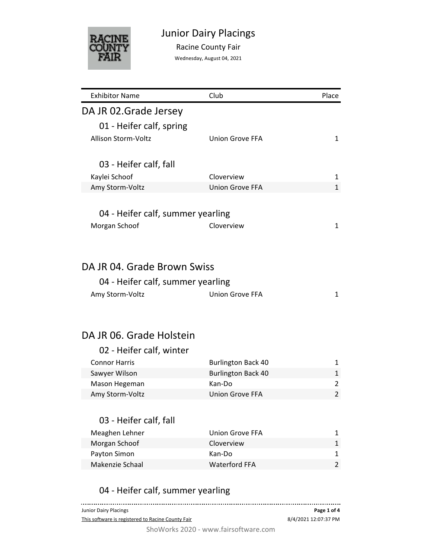

Racine County Fair

Wednesday, August 04, 2021

| <b>Exhibitor Name</b>             | Club                      | Place          |
|-----------------------------------|---------------------------|----------------|
| DA JR 02. Grade Jersey            |                           |                |
| 01 - Heifer calf, spring          |                           |                |
| Allison Storm-Voltz               | Union Grove FFA           | 1              |
|                                   |                           |                |
| 03 - Heifer calf, fall            |                           |                |
| Kaylei Schoof                     | Cloverview                | 1              |
| Amy Storm-Voltz                   | Union Grove FFA           | 1              |
|                                   |                           |                |
| 04 - Heifer calf, summer yearling |                           |                |
|                                   | Cloverview                | 1              |
| Morgan Schoof                     |                           |                |
|                                   |                           |                |
|                                   |                           |                |
| DA JR 04. Grade Brown Swiss       |                           |                |
| 04 - Heifer calf, summer yearling |                           |                |
| Amy Storm-Voltz                   | <b>Union Grove FFA</b>    | 1              |
|                                   |                           |                |
| DA JR 06. Grade Holstein          |                           |                |
| 02 - Heifer calf, winter          |                           |                |
| <b>Connor Harris</b>              | <b>Burlington Back 40</b> | 1              |
| Sawyer Wilson                     | <b>Burlington Back 40</b> | 1              |
| Mason Hegeman                     | Kan-Do                    | 2              |
| Amy Storm-Voltz                   | <b>Union Grove FFA</b>    | $\overline{2}$ |
|                                   |                           |                |
| 03 - Heifer calf, fall            |                           |                |
| Meaghen Lehner                    | <b>Union Grove FFA</b>    | 1              |
| Morgan Schoof                     | Cloverview                | 1              |
| Payton Simon                      | Kan-Do                    | 1              |
| Makenzie Schaal                   | <b>Waterford FFA</b>      | $\overline{2}$ |
|                                   |                           |                |
|                                   |                           |                |
| 04 - Heifer calf, summer yearling |                           |                |

| Junior Dairy Placings                                                                                                                                                                                                                                                                                                                | Page 1 of 4          |
|--------------------------------------------------------------------------------------------------------------------------------------------------------------------------------------------------------------------------------------------------------------------------------------------------------------------------------------|----------------------|
| This software is registered to Racine County Fair                                                                                                                                                                                                                                                                                    | 8/4/2021 12:07:37 PM |
| $011111$ $0000$<br>$\mathcal{L}$ and $\mathcal{L}$ and $\mathcal{L}$ and $\mathcal{L}$ and $\mathcal{L}$ and $\mathcal{L}$ and $\mathcal{L}$ and $\mathcal{L}$ and $\mathcal{L}$ and $\mathcal{L}$ and $\mathcal{L}$ and $\mathcal{L}$ and $\mathcal{L}$ and $\mathcal{L}$ and $\mathcal{L}$ and $\mathcal{L}$ and $\mathcal{L}$ and |                      |

ShoWorks 2020 - www.fairsoftware.com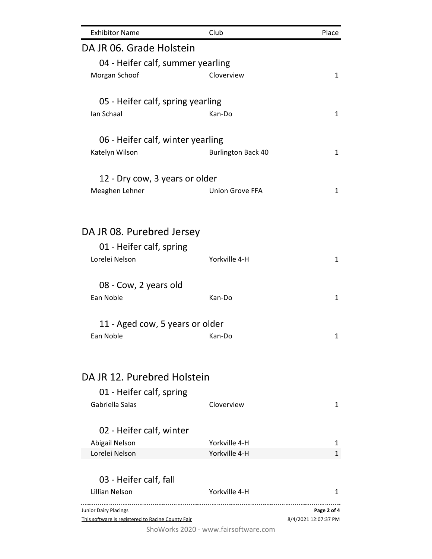| <b>Exhibitor Name</b>                             | Club                                 | Place                |
|---------------------------------------------------|--------------------------------------|----------------------|
| DA JR 06. Grade Holstein                          |                                      |                      |
| 04 - Heifer calf, summer yearling                 |                                      |                      |
| Morgan Schoof                                     | Cloverview                           | 1                    |
| 05 - Heifer calf, spring yearling                 |                                      |                      |
| Ian Schaal                                        | Kan-Do                               | 1                    |
| 06 - Heifer calf, winter yearling                 |                                      |                      |
| Katelyn Wilson                                    | <b>Burlington Back 40</b>            | 1                    |
| 12 - Dry cow, 3 years or older                    |                                      |                      |
| Meaghen Lehner                                    | <b>Union Grove FFA</b>               | $\mathbf{1}$         |
|                                                   |                                      |                      |
| DA JR 08. Purebred Jersey                         |                                      |                      |
| 01 - Heifer calf, spring                          |                                      |                      |
| Lorelei Nelson                                    | Yorkville 4-H                        | 1                    |
| 08 - Cow, 2 years old                             |                                      |                      |
| Ean Noble                                         | Kan-Do                               | $\mathbf{1}$         |
| 11 - Aged cow, 5 years or older                   |                                      |                      |
| Ean Noble                                         | Kan-Do                               | 1                    |
|                                                   |                                      |                      |
| DA JR 12. Purebred Holstein                       |                                      |                      |
| 01 - Heifer calf, spring                          |                                      |                      |
| Gabriella Salas                                   | Cloverview                           | 1                    |
| 02 - Heifer calf, winter                          |                                      |                      |
| Abigail Nelson                                    | Yorkville 4-H                        | 1                    |
| Lorelei Nelson                                    | Yorkville 4-H                        | 1                    |
| 03 - Heifer calf, fall                            |                                      |                      |
| Lillian Nelson                                    | Yorkville 4-H<br>                    | 1                    |
| <b>Junior Dairy Placings</b>                      |                                      | Page 2 of 4          |
| This software is registered to Racine County Fair | ShoWorks 2020 - www.fairsoftware.com | 8/4/2021 12:07:37 PM |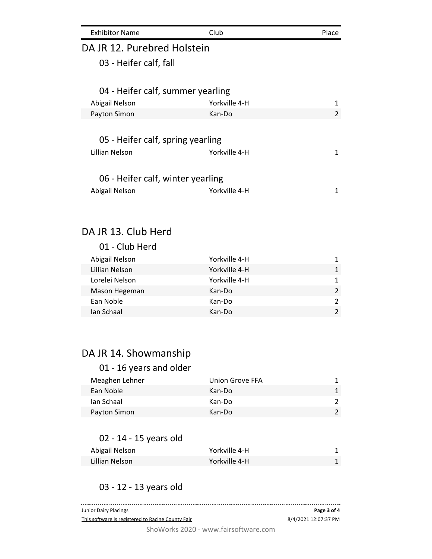| <b>Exhibitor Name</b>             | Club          | Place |
|-----------------------------------|---------------|-------|
| DA JR 12. Purebred Holstein       |               |       |
| 03 - Heifer calf, fall            |               |       |
| 04 - Heifer calf, summer yearling |               |       |
| Abigail Nelson                    | Yorkville 4-H | 1     |
| Payton Simon                      | Kan-Do        | 2     |
|                                   |               |       |
| 05 - Heifer calf, spring yearling |               |       |
| Lillian Nelson                    | Yorkville 4-H | 1     |
| 06 - Heifer calf, winter yearling |               |       |
| Abigail Nelson                    | Yorkville 4-H | 1     |
|                                   |               |       |
|                                   |               |       |

#### DA JR 13. Club Herd

| 01 - Club Herd |               |               |
|----------------|---------------|---------------|
| Abigail Nelson | Yorkville 4-H | 1             |
| Lillian Nelson | Yorkville 4-H | 1             |
| Lorelei Nelson | Yorkville 4-H | 1             |
| Mason Hegeman  | Kan-Do        | $\mathcal{P}$ |
| Ean Noble      | Kan-Do        | $\mathcal{P}$ |
| Ian Schaal     | Kan-Do        | $\mathcal{P}$ |

# DA JR 14. Showmanship

| 01 - 16 years and older |                 |               |
|-------------------------|-----------------|---------------|
| Meaghen Lehner          | Union Grove FFA | 1.            |
| Ean Noble               | Kan-Do          | 1             |
| Ian Schaal              | Kan-Do          | $\mathcal{P}$ |
| Payton Simon            | Kan-Do          | $\mathcal{P}$ |

### 02 - 14 - 15 years old

| Abigail Nelson | Yorkville 4-H |  |
|----------------|---------------|--|
| Lillian Nelson | Yorkville 4-H |  |

### 03 - 12 - 13 years old

| Junior Dairy Placings                             | Page 3 of 4          |
|---------------------------------------------------|----------------------|
| This software is registered to Racine County Fair | 8/4/2021 12:07:37 PM |
| ShoWorks 2020 - www.fairsoftware.com              |                      |